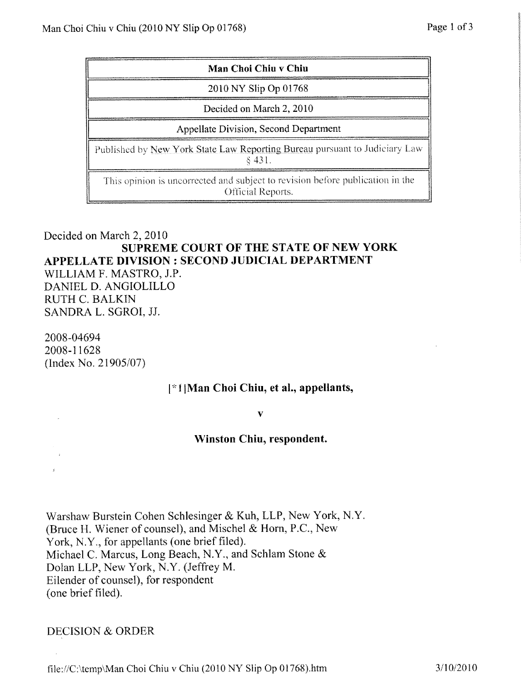| Man Choi Chiu v Chiu                                                                               |
|----------------------------------------------------------------------------------------------------|
| 2010 NY Slip Op 01768                                                                              |
| Decided on March 2, 2010                                                                           |
| Appellate Division, Second Department                                                              |
| Published by New York State Law Reporting Bureau pursuant to Judiciary Law<br>\$431.               |
| This opinion is uncorrected and subject to revision before publication in the<br>Official Reports. |

## Decided on March 2, 2010 **SUPREME COURT OF THE STATE OF NEW YORK APPELLATE DIVISION** : **SECOND JUDICIAL DEPARTMENT**

WILLIAM F. MASTRO, J.P. DANIEL D. ANGIOLILLO RUTH C. BALKIN SANDRA L. SGROI, JJ.

2008-04694 2008-11628  $(Index No. 21905/07)$ 

## i /Man Choi Chiu, et al., **appellants,**

V

## **Winston** Chin, **respondent.**

**Warshaw Burstein Cohen Schlesinger** & **Kuh, LLP**, New York, N.Y. **(Bruce H. Wiener of counsel**), **and Michhel** & **Horn**, **P.C., New** York, N.Y., **for appellants** (**one brief filed). Michael C. Marcus, Long Beach, N.Y., and Schlam Stone & Dolan LLP, New** York, N.Y. (**Jeffrey M. Eilender of counsel**), **for respondent (one brief filed).**

DECISION & ORDER

file://C:\temp\Man Choi Chiu v Chiu (2010 NY Slip Op 01768).htm  $3/10/2010$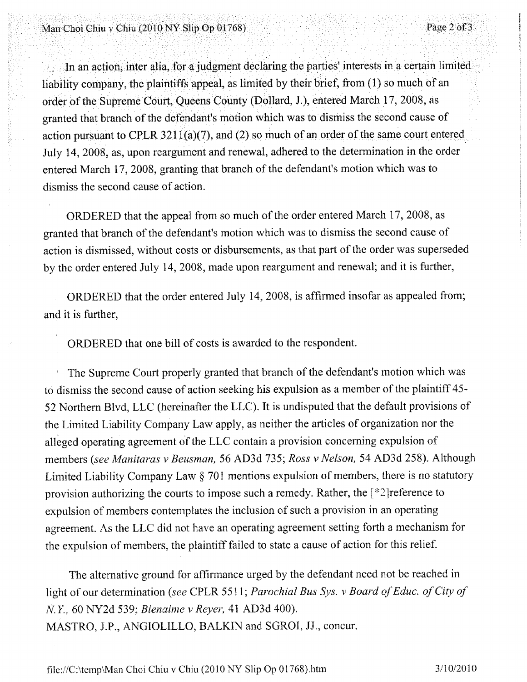## Man Choi Chiu v Chiu (2010 NY Slip Op 01768)

In an action, inter alia, for a judgment declaring the parties' interests in a certain limited entered March 17, 2008, granting that branch of the defendant's motion which was to dismiss the second cause of action. July 14, 2008, as, upon reargument and renewal, adhered to the determination in the order **action pursuant** to CpLR 3211(a)(7), and (**2) so much of an order of the same court entered. granted that branch of the defendant**'**s motion** which **was to dismiss the second cause of** order of the Supreme Court, Queens County (Dollard, J.), entered March 17, 2008, as liability company, the plaintiffs appeal, as limited by their brief, from  $(1)$  so much of an

ORDERED that the appeal from so much of the order entered March 17, 2008, as granted that branch of the defendant's motion which was to dismiss the second cause of action is dismissed, without costs or disbursements, as that part of the order was superseded by the order entered July 14, 2008, made upon reargument and renewal; and it is further,

ORDERED that the order entered July 14, 2008, is affirmed insofar as appealed from; and it is further,

ORDERED that one bill of costs is awarded to the respondent.

The Supreme Court properly granted that branch of the defendant's motion which was to dismiss the second cause of action seeking his expulsion as a member of the plaintiff 45- 52 Northern Blvd, LLC (hereinafter the LLC). It is undisputed that the default provisions of the Limited Liability Company Law apply, as neither the articles of organization nor the alleged operating agreement of the LLC contain a provision concerning expulsion of members *(see Manitaras v Beusman,* 56 AD3d 735; Ross *v Nelson,* 54 AD3d 258). Although Limited Liability Company Law § 701 mentions expulsion of members, there is no statutory provision authorizing the courts to impose such a remedy. Rather, the  $\lceil *2 \rceil$  reference to expulsion of members contemplates the inclusion of such a provision in an operating agreement. As the LLC did not have an operating agreement setting forth a mechanism for the expulsion of members, the plaintiff failed to state a cause of action for this relief.

The alternative **ground** for affirmance urged by **the defendant need not be reached in** light of **our determination** *(see* CPLR 5511; *Parochial Bus Sys. v Board of Educ. of City of Its Y,* 60 NY2d **539;** *Bienaime v Reyer,* 41 AD3d 400). MASTRO, J.P., ANGIOLILLO, BALKIN and SGRO1, JJ., concur.

file://C:\temp\Man Choi Chiu v Chiu (2010 NY Slip Op 01768). **htm 3** /10/2010